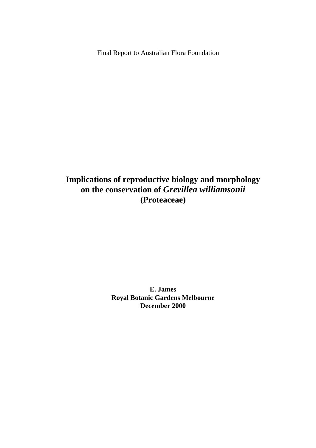Final Report to Australian Flora Foundation

# **Implications of reproductive biology and morphology on the conservation of** *Grevillea williamsonii*  **(Proteaceae)**

**E. James Royal Botanic Gardens Melbourne December 2000**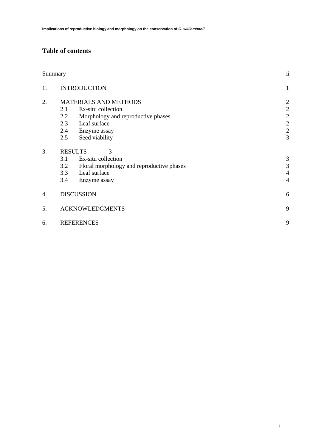# **Table of contents**

|    | Summary                      | ii                                        |                |  |
|----|------------------------------|-------------------------------------------|----------------|--|
| 1. |                              | <b>INTRODUCTION</b>                       | $\mathbf{1}$   |  |
| 2. | <b>MATERIALS AND METHODS</b> |                                           |                |  |
|    | 2.1                          | Ex-situ collection                        | $\mathbf{2}$   |  |
|    | 2.2                          | Morphology and reproductive phases        | $\sqrt{2}$     |  |
|    | 2.3                          | Leaf surface                              | $\sqrt{2}$     |  |
|    | 2.4                          | Enzyme assay                              | $\sqrt{2}$     |  |
|    | 2.5                          | Seed viability                            | 3              |  |
| 3. |                              | <b>RESULTS</b><br>3                       |                |  |
|    | 3.1                          | Ex-situ collection                        | 3              |  |
|    | 3.2                          | Floral morphology and reproductive phases | 3              |  |
|    | 3.3                          | Leaf surface                              | $\overline{4}$ |  |
|    | 3.4                          | Enzyme assay                              | $\overline{4}$ |  |
| 4. | <b>DISCUSSION</b>            |                                           |                |  |
| 5. | <b>ACKNOWLEDGMENTS</b>       | 9                                         |                |  |
| 6. |                              | <b>REFERENCES</b>                         | 9              |  |
|    |                              |                                           |                |  |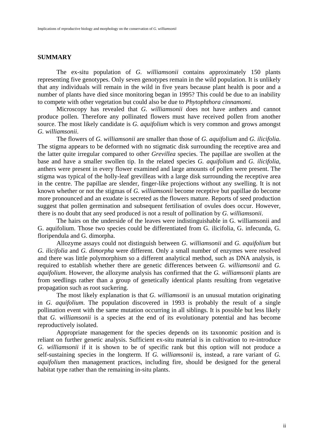### **SUMMARY**

The ex-situ population of *G. williamsonii* contains approximately 150 plants representing five genotypes. Only seven genotypes remain in the wild population. It is unlikely that any individuals will remain in the wild in five years because plant health is poor and a number of plants have died since monitoring began in 1995? This could be due to an inability to compete with other vegetation but could also be due to *Phytophthora cinnamomi*.

Microscopy has revealed that *G. williamsonii* does not have anthers and cannot produce pollen. Therefore any pollinated flowers must have received pollen from another source. The most likely candidate is *G. aquifolium* which is very common and grows amongst *G. williamsonii*.

The flowers of *G. williamsonii* are smaller than those of *G. aquifolium* and *G. ilicifolia*. The stigma appears to be deformed with no stigmatic disk surrounding the receptive area and the latter quite irregular compared to other *Grevillea* species. The papillae are swollen at the base and have a smaller swollen tip. In the related species *G. aquifolium* and *G. ilicifolia*, anthers were present in every flower examined and large amounts of pollen were present. The stigma was typical of the holly-leaf grevilleas with a large disk surrounding the receptive area in the centre. The papillae are slender, finger-like projections without any swelling. It is not known whether or not the stigmas of *G. williamsonii* become receptive but papillae do become more pronounced and an exudate is secreted as the flowers mature. Reports of seed production suggest that pollen germination and subsequent fertilisation of ovules does occur. However, there is no doubt that any seed produced is not a result of pollination by *G. williamsonii*.

The hairs on the underside of the leaves were indistinguishable in G. williamsonii and G. aquifolium. Those two species could be differentiated from G. ilicifolia, G. infecunda, G. floripendula and G. dimorpha.

Allozyme assays could not distinguish between *G. williamsonii* and *G. aquifolium* but *G. ilicifolia* and *G. dimorpha* were different. Only a small number of enzymes were resolved and there was little polymorphism so a different analytical method, such as DNA analysis, is required to establish whether there are genetic differences between *G. williamsonii* and *G. aquifolium*. However, the allozyme analysis has confirmed that the *G. williamsonii* plants are from seedlings rather than a group of genetically identical plants resulting from vegetative propagation such as root suckering.

The most likely explanation is that *G. williamsonii* is an unusual mutation originating in *G. aquifolium*. The population discovered in 1993 is probably the result of a single pollination event with the same mutation occurring in all siblings. It is possible but less likely that *G. williamsonii* is a species at the end of its evolutionary potential and has become reproductively isolated.

Appropriate management for the species depends on its taxonomic position and is reliant on further genetic analysis. Sufficient ex-situ material is in cultivation to re-introduce *G. williamsonii* if it is shown to be of specific rank but this option will not produce a self-sustaining species in the longterm. If *G. williamsonii* is, instead, a rare variant of *G. aquifolium* then management practices, including fire, should be designed for the general habitat type rather than the remaining in-situ plants.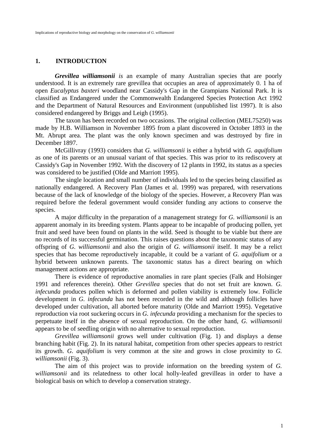### **1. INTRODUCTION**

*Grevillea williamsonii is* an example of many Australian species that are poorly understood. It is an extremely rare grevillea that occupies an area of approximately 0. 1 ha of open *Eucalyptus baxteri* woodland near Cassidy's Gap in the Grampians National Park. It is classified as Endangered under the Commonwealth Endangered Species Protection Act 1992 and the Department of Natural Resources and Environment (unpublished list 1997). It is also considered endangered by Briggs and Leigh (1995).

The taxon has been recorded on two occasions. The original collection (MEL75250) was made by H.B. Williamson in November 1895 from a plant discovered in October 1893 in the Mt. Abrupt area. The plant was the only known specimen and was destroyed by fire in December 1897.

McGillivray (1993) considers that *G. williamsonii* is either a hybrid with *G. aquifolium*  as one of its parents or an unusual variant of that species. This was prior to its rediscovery at Cassidy's Gap in November 1992. With the discovery of 12 plants in 1992, its status as a species was considered to be justified (Olde and Marriott 1995).

The single location and small number of individuals led to the species being classified as nationally endangered. A Recovery Plan (James et al. 1999) was prepared, with reservations because of the lack of knowledge of the biology of the species. However, a Recovery Plan was required before the federal government would consider funding any actions to conserve the species.

A major difficulty in the preparation of a management strategy for *G. williamsonii* is an apparent anomaly in its breeding system. Plants appear to be incapable of producing pollen, yet fruit and seed have been found on plants in the wild. Seed is thought to be viable but there are no records of its successful germination. This raises questions about the taxonomic status of any offspring of *G. williamsonii* and also the origin of *G. williamsonii* itself. It may be a relict species that has become reproductively incapable, it could be a variant of *G. aquifolium* or a hybrid between unknown parents. The taxonomic status has a direct bearing on which management actions are appropriate.

There is evidence of reproductive anomalies in rare plant species (Falk and Holsinger 1991 and references therein). Other *Grevillea* species that do not set fruit are known. *G. infecunda* produces pollen which is deformed and pollen viability is extremely low. Follicle development in *G. infecunda* has not been recorded in the wild and although follicles have developed under cultivation, all aborted before maturity (Olde and Marriott 1995). Vegetative reproduction via root suckering occurs in *G. infecunda* providing a mechanism for the species to perpetuate itself in the absence of sexual reproduction. On the other hand, *G. williamsonii*  appears to be of seedling origin with no alternative to sexual reproduction.

*Grevillea williamsonii* grows well under cultivation (Fig. 1) and displays a dense branching habit (Fig. 2). In its natural habitat, competition from other species appears to restrict its growth. *G. aquifolium* is very common at the site and grows in close proximity to *G. williamsonii* (Fig. 3).

The aim of this project was to provide information on the breeding system of *G. williamsonii* and its relatedness to other local holly-leafed grevilleas in order to have a biological basis on which to develop a conservation strategy.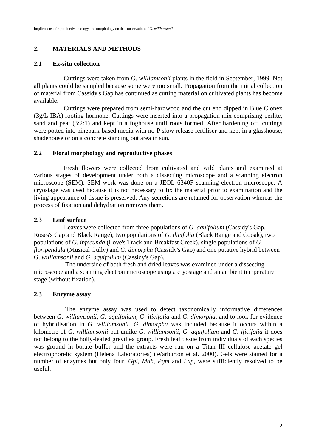# **2. MATERIALS AND METHODS**

# **2.1 Ex-situ collection**

Cuttings were taken from G. *williamsonii* plants in the field in September, 1999. Not all plants could be sampled because some were too small. Propagation from the initial collection of material from Cassidy's Gap has continued as cutting material on cultivated plants has become available.

Cuttings were prepared from semi-hardwood and the cut end dipped in Blue Clonex (3g/L IBA) rooting hormone. Cuttings were inserted into a propagation mix comprising perlite, sand and peat (3:2:1) and kept in a foghouse until roots formed. After hardening off, cuttings were potted into pinebark-based media with no-P slow release fertiliser and kept in a glasshouse, shadehouse or on a concrete standing out area in sun.

# **2.2 Floral morphology and reproductive phases**

Fresh flowers were collected from cultivated and wild plants and examined at various stages of development under both a dissecting microscope and a scanning electron microscope (SEM). SEM work was done on a JEOL 6340F scanning electron microscope. A cryostage was used because it is not necessary to fix the material prior to examination and the living appearance of tissue is preserved. Any secretions are retained for observation whereas the process of fixation and dehydration removes them.

# **2.3 Leaf surface**

Leaves were collected from three populations of *G. aquifolium* (Cassidy's Gap, Roses's Gap and Black Range), two populations of *G. ilicifolia* (Black Range and Cooak), two populations of *G*. *infecunda* (Love's Track and Breakfast Creek), single populations of *G. floripendula* (Musical Gully) and *G. dimorpha* (Cassidy's Gap) and one putative hybrid between G. *williamsonii* and *G. aquifolium* (Cassidy's Gap).

The underside of both fresh and dried leaves was examined under a dissecting microscope and a scanning electron microscope using a cryostage and an ambient temperature stage (without fixation).

# **2.3 Enzyme assay**

The enzyme assay was used to detect taxonomically informative differences between *G*. *williamsonii, G. aquifolium, G*. *ilicifolia* and *G. dimorpha,* and to look for evidence of hybridisation in *G. williamsonii. G. dimorpha* was included because it occurs within a kilometre of *G. williamsonii* but unlike *G. williamsonii, G. aquifolium* and *G. ificifolia* it does not belong to the holly-leafed grevillea group. Fresh leaf tissue from individuals of each species was ground in borate buffer and the extracts were run on a Titan III cellulose acetate gel electrophoretic system (Helena Laboratories) (Warburton et al. 2000). Gels were stained for a number of enzymes but only four, *Gpi*, *Mdh, Pgm* and *Lap,* were sufficiently resolved to be useful.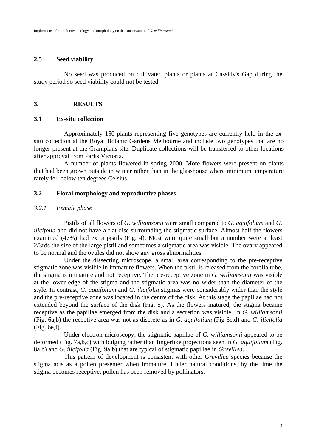### **2.5 Seed viability**

No seed was produced on cultivated plants or plants at Cassidy's Gap during the study period so seed viability could not be tested.

# **3. RESULTS**

### **3.1 Ex-situ collection**

Approximately 150 plants representing five genotypes are currently held in the exsitu collection at the Royal Botanic Gardens Melbourne and include two genotypes that are no longer present at the Grampians site. Duplicate collections will be transferred to other locations after approval from Parks Victoria.

A number of plants flowered in spring 2000. More flowers were present on plants that had been grown outside in winter rather than in the glasshouse where minimum temperature rarely fell below ten degrees Celsius.

### **3.2 Floral morphology and reproductive phases**

### *3.2.1 Female phase*

Pistils of all flowers of *G. williamsonii* were small compared to *G. aquifolium* and *G. ilicifolia* and did not have a flat disc surrounding the stigmatic surface. Almost half the flowers examined (47%) had extra pistils (Fig. 4). Most were quite small but a number were at least 2/3rds the size of the large pistil and sometimes a stigmatic area was visible. The ovary appeared to be normal and the ovules did not show any gross abnormalities.

Under the dissecting microscope, a small area corresponding to the pre-receptive stigmatic zone was visible in immature flowers. When the pistil is released from the corolla tube, the stigma is immature and not receptive. The pre-receptive zone in *G. williamsonii* was visible at the lower edge of the stigma and the stigmatic area was no wider than the diameter of the style. In contrast, *G. aquifolium* and *G. ilicifolia* stigmas were considerably wider than the style and the pre-receptive zone was located in the centre of the disk. At this stage the papillae had not extended beyond the surface of the disk (Fig. 5). As the flowers matured, the stigma became receptive as the papillae emerged from the disk and a secretion was visible. In *G. williamsonii* (Fig. 6a,b) the receptive area was not as discrete as in *G. aquifolium* (Fig 6c,d) and *G. ilicifolia* (Fig. 6e,f).

Under electron microscopy, the stigmatic papillae of *G. williamsonii* appeared to be deformed (Fig. 7a,b,c) with bulging rather than fingerlike projections seen in *G. aquifolium* (Fig. 8a,b) and *G. ilicifolia* (Fig. 9a,b) that are typical of stigmatic papillae in *Grevillea*.

This pattern of development is consistent with other *Grevillea* species because the stigma acts as a pollen presenter when immature. Under natural conditions, by the time the stigma becomes receptive, pollen has been removed by pollinators.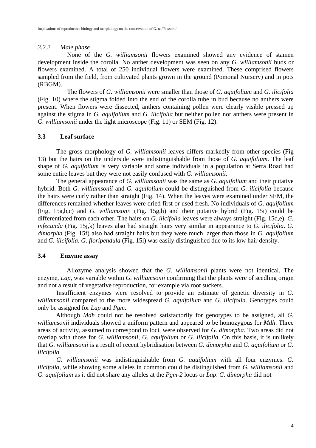# *3.2.2 Male phase*

None of the *G. williamsonii* flowers examined showed any evidence of stamen development inside the corolla. No anther development was seen on any *G. williamsonii* buds or flowers examined. A total of 250 individual flowers were examined. These comprised flowers sampled from the field, from cultivated plants grown in the ground (Pomonal Nursery) and in pots (RBGM).

The flowers of *G. williamsonii* were smaller than those of *G. aquifolium* and *G. ilicifolia* (Fig. 10) where the stigma folded into the end of the corolla tube in bud because no anthers were present. When flowers were dissected, anthers containing pollen were clearly visible pressed up against the stigma in *G. aquifolium* and *G. ilicifolia* but neither pollen nor anthers were present in *G. williamsonii* under the light microscope (Fig. 11) or SEM (Fig. 12).

# **3.3 Leaf surface**

The gross morphology of *G. williamsonii* leaves differs markedly from other species (Fig 13) but the hairs on the underside were indistinguishable from those of *G. aquifolium*. The leaf shape of *G. aquifolium* is very variable and some individuals in a population at Serra Road had some entire leaves but they were not easily confused with *G. williamsonii*.

The general appearance of *G. williamsonii* was the same as *G. aquifolium* and their putative hybrid. Both *G. williamsonii* and *G. aquifolium* could be distinguished from *G. ilicifolia* because the hairs were curly rather than straight (Fig. 14). When the leaves were examined under SEM, the differences remained whether leaves were dried first or used fresh. No individuals of *G. aquifolium* (Fig. 15a,b,c) and *G. williamsoni*i (Fig. 15g,h) and their putative hybrid (Fig. 15i) could be differentiated from each other. The hairs on *G. ilicifolia* leaves were always straight (Fig. 15d,e). *G. infecunda* (Fig. 15j,k) leaves also had straight hairs very similar in appearance to *G. ilicifolia*. *G. dimorpha* (Fig. 15f) also had straight hairs but they were much larger than those in *G. aquifolium* and *G. ilicifolia*. *G. floripendula* (Fig. 15l) was easily distinguished due to its low hair density.

# **3.4 Enzyme assay**

Allozyme analysis showed that the *G. williamsonii* plants were not identical. The enzyme, *Lap*, was variable within *G. williamsonii* confirming that the plants were of seedling origin and not a result of vegetative reproduction, for example via root suckers.

Insufficient enzymes were resolved to provide an estimate of genetic diversity in *G. williamsonii* compared to the more widespread *G. aquifolium* and *G. ilicifolia*. Genotypes could only be assigned for *Lap* and *Pgm*.

Although *Mdh* could not be resolved satisfactorily for genotypes to be assigned, all *G. williamsonii* individuals showed a uniform pattern and appeared to be homozygous for *Mdh*. Three areas of activity, assumed to correspond to loci, were observed for *G. dimorpha*. Two areas did not overlap with those for *G. williamsonii*, *G. aquifolium* or *G. ilicifolia*. On this basis, it is unlikely that *G. williamsonii* is a result of recent hybridisation between *G. dimorpha* and *G. aquifolium* or *G. ilicifolia*

*G. williamsonii* was indistinguishable from *G. aquifolium* with all four enzymes. *G. ilicifolia*, while showing some alleles in common could be distinguished from *G. williamsonii* and *G. aquifolium* as it did not share any alleles at the *Pgm-2* locus or *Lap*. *G. dimorpha* did not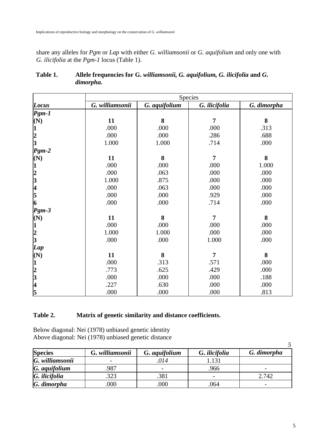share any alleles for *Pgm* or *Lap* with either *G. williamsonii* or *G. aquifolium* and only one with *G. ilicifolia* at the *Pgm-1* locus (Table 1).

|                                                 | Species         |               |               |             |  |  |
|-------------------------------------------------|-----------------|---------------|---------------|-------------|--|--|
| Locus                                           | G. williamsonii | G. aquifolium | G. ilicifolia | G. dimorpha |  |  |
| $Pgm-1$                                         |                 |               |               |             |  |  |
| (N)                                             | 11              | 8             | 7             | 8           |  |  |
| $\bf 1$                                         | .000            | .000          | .000          | .313        |  |  |
|                                                 | .000            | .000          | .286          | .688        |  |  |
| $\frac{2}{3}$                                   | 1.000           | 1.000         | .714          | .000        |  |  |
| $Pgm-2$                                         |                 |               |               |             |  |  |
| (N)                                             | 11              | 8             | 7             | 8           |  |  |
| 1                                               | .000            | .000          | .000          | 1.000       |  |  |
| $\begin{array}{c} 2 \\ 3 \\ 4 \\ 5 \end{array}$ | .000            | .063          | .000          | .000        |  |  |
|                                                 | 1.000           | .875          | .000          | .000        |  |  |
|                                                 | .000            | .063          | .000          | .000        |  |  |
|                                                 | .000            | .000          | .929          | .000        |  |  |
| 6                                               | .000            | .000          | .714          | .000        |  |  |
| $Pgm-3$                                         |                 |               |               |             |  |  |
| (N)                                             | 11              | 8             | 7             | 8           |  |  |
|                                                 | .000            | .000          | .000          | .000        |  |  |
| $\frac{1}{2}$<br>3                              | 1.000           | 1.000         | .000          | .000        |  |  |
|                                                 | .000            | .000          | 1.000         | .000        |  |  |
| Lap                                             |                 |               |               |             |  |  |
| (N)                                             | 11              | 8             | 7             | 8           |  |  |
| $\mathbf{1}$                                    | .000            | .313          | .571          | .000        |  |  |
|                                                 | .773            | .625          | .429          | .000        |  |  |
| $\begin{array}{c} 2 \\ 3 \\ 4 \end{array}$      | .000            | .000          | .000          | .188        |  |  |
|                                                 | .227            | .630          | .000          | .000        |  |  |
| 5                                               | .000            | .000          | .000          | .813        |  |  |

# **Table 1. Allele frequencies for G.** *williamsonii, G. aquifolium, G. ilicifolia* **and** *G***.**  *dimorpha.*

# **Table 2. Matrix of genetic similarity and distance coefficients.**

Below diagonal: Nei (1978) unbiased genetic identity Above diagonal: Nei (1978) unbiased genetic distance

| <b>Species</b>  | G. williamsonii          | G. aquifolium            | G. ilicifolia | G. dimorpha |  |
|-----------------|--------------------------|--------------------------|---------------|-------------|--|
| G. williamsonii | $\overline{\phantom{a}}$ | 014                      | .131          |             |  |
| G. aquifolium   | .987                     | $\overline{\phantom{0}}$ | .966          |             |  |
| G. ilicifolia   | .323                     | .381                     |               | 2.742       |  |
| G. dimorpha     | .000                     | .000                     | 064           |             |  |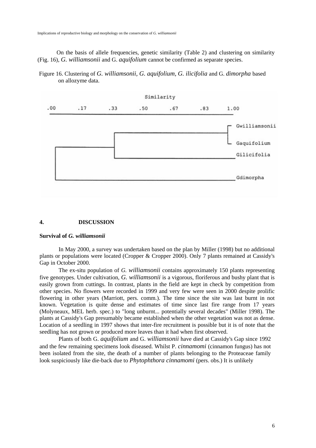On the basis of allele frequencies, genetic similarity (Table 2) and clustering on similarity (Fig. 16), *G. williamsonii* and G. *aquifolium* cannot be confirmed as separate species.

Figure 16. Clustering of *G. williamsonii, G. aquifolium, G. ilicifolia* and G. *dimorpha* based on allozyme data.



#### **4. DISCUSSION**

#### **Survival of** *G. williamsonii*

In May 2000, a survey was undertaken based on the plan by Miller (1998) but no additional plants or populations were located (Cropper & Cropper 2000). Only 7 plants remained at Cassidy's Gap in October 2000.

The ex-situ population of *G. williamsonii* contains approximately 150 plants representing five genotypes. Under cultivation, *G. williamsonii* is a vigorous, floriferous and bushy plant that is easily grown from cuttings. In contrast, plants in the field are kept in check by competition from other species. No flowers were recorded in 1999 and very few were seen in 2000 despite prolific flowering in other years (Marriott, pers. comm.). The time since the site was last burnt in not known. Vegetation is quite dense and estimates of time since last fire range from 17 years (Molyneaux, MEL herb. spec.) to "long unburnt... potentially several decades" (Miller 1998). The plants at Cassidy's Gap presumably became established when the other vegetation was not as dense. Location of a seedling in 1997 shows that inter-fire recruitment is possible but it is of note that the seedling has not grown or produced more leaves than it had when first observed.

Plants of both G. *aquifolium* and G. *williamsonii* have died at Cassidy's Gap since 1992 and the few remaining specimens look diseased. Whilst P. *cinnamomi* (cinnamon fungus) has not been isolated from the site, the death of a number of plants belonging to the Proteaceae family look suspiciously like die-back due to *Phytophthora cinnamomi* (pers. obs.) It is unlikely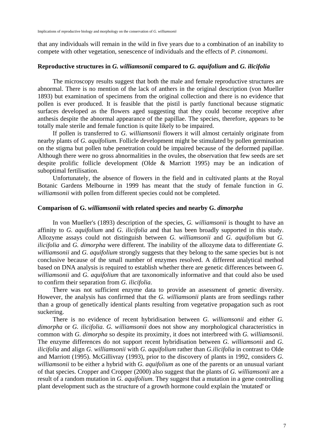that any individuals will remain in the wild in five years due to a combination of an inability to compete with other vegetation, senescence of individuals and the effects of *P. cinnamomi*.

#### **Reproductive structures in** *G. williamsonii* **compared to** *G. aquifolium* **and** *G. ilicifolia*

The microscopy results suggest that both the male and female reproductive structures are abnormal. There is no mention of the lack of anthers in the original description (von Mueller 1893) but examination of specimens from the original collection and there is no evidence that pollen is ever produced. It is feasible that the pistil is partly functional because stigmatic surfaces developed as the flowers aged suggesting that they could become receptive after anthesis despite the abnormal appearance of the papillae. The species, therefore, appears to be totally male sterile and female function is quite likely to be impaired.

If pollen is transferred to *G. williamsonii* flowers it will almost certainly originate from nearby plants of *G. aquifolium*. Follicle development might be stimulated by pollen germination on the stigma but pollen tube penetration could be impaired because of the deformed papillae. Although there were no gross abnormalities in the ovules, the observation that few seeds are set despite prolific follicle development (Olde & Marriott 1995) may be an indication of suboptimal fertilisation.

Unfortunately, the absence of flowers in the field and in cultivated plants at the Royal Botanic Gardens Melbourne in 1999 has meant that the study of female function in *G. williamsonii* with pollen from different species could not be completed.

#### **Comparison of G.** *williamsonii* **with related species and nearby G.** *dimorpha*

In von Mueller's (1893) description of the species, *G. williamsonii* is thought to have an affinity to *G. aquifolium* and *G. ilicifolia* and that has been broadly supported in this study. Allozyme assays could not distinguish between *G. williamsonii* and *G. aquifolium* but *G. ilicifolia* and *G. dimorpha* were different. The inability of the allozyme data to differentiate *G. williamsonii* and *G. aquifolium* strongly suggests that they belong to the same species but is not conclusive because of the small number of enzymes resolved. A different analytical method based on DNA analysis is required to establish whether there are genetic differences between *G. williamsonii* and *G. aquifolium* that are taxonomically informative and that could also be used to confirm their separation from *G. ilicifolia*.

There was not sufficient enzyme data to provide an assessment of genetic diversity. However, the analysis has confirmed that the *G. williamsonii* plants are from seedlings rather than a group of genetically identical plants resulting from vegetative propagation such as root suckering.

There is no evidence of recent hybridisation between *G. williamsonii* and either *G. dimorpha* or *G. ilicifolia*. *G. williamsonii* does not show any morphological characteristics in common with *G. dimorpha* so despite its proximity, it does not interbreed with *G. williamsonii*. The enzyme differences do not support recent hybridisation between *G. williamsonii* and *G. ilicifolia* and align *G. williamsonii* with *G. aquifolium* rather than *G.ilicifolia* in contrast to Olde and Marriott (1995). McGillivray (1993), prior to the discovery of plants in 1992, considers *G. williamsonii* to be either a hybrid with *G. aquifolium* as one of the parents or an unusual variant of that species. Cropper and Cropper (2000) also suggest that the plants of *G. williamsonii* are a result of a random mutation in *G. aquifolium*. They suggest that a mutation in a gene controlling plant development such as the structure of a growth hormone could explain the 'mutated' or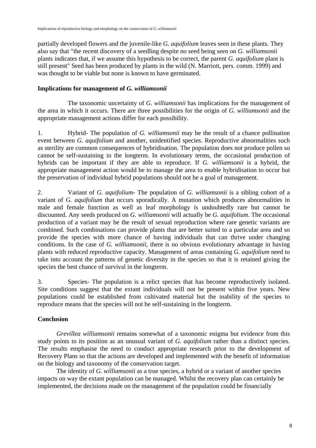partially developed flowers and the juvenile-like *G. aquifolium* leaves seen in these plants. They also say that "the recent discovery of a seedling despite no seed being seen on *G. williamsonii* plants indicates that, if we assume this hypothesis to be correct, the parent *G. aquifolium* plant is still present" Seed has been produced by plants in the wild (N. Marriott, pers. comm. 1999) and was thought to be viable but none is known to have germinated.

# **Implications for management of** *G. williamsonii*

The taxonomic uncertainty of *G. williamsonii* has implications for the management of the area in which it occurs. There are three possibilities for the origin of *G. williamsonii* and the appropriate management actions differ for each possibility.

1. Hybrid- The population of *G. williamsonii* may be the result of a chance pollination event between *G. aquifolium* and another, unidentified species. Reproductive abnormalities such as sterility are common consequences of hybridisation. The population does not produce pollen so cannot be self-sustaining in the longterm. In evolutionary terms, the occasional production of hybrids can be important if they are able to reproduce. If *G. williamsonii* is a hybrid, the appropriate management action would be to manage the area to enable hybridisation to occur but the preservation of individual hybrid populations should not be a goal of management.

2. Variant of *G. aquifolium*- The population of *G. williamsonii* is a sibling cohort of a variant of *G. aquifolium* that occurs sporadically. A mutation which produces abnormalities in male and female function as well as leaf morphology is undoubtedly rare but cannot be discounted. Any seeds produced on *G. williamsonii* will actually be *G. aquifolium*. The occasional production of a variant may be the result of sexual reproduction where rare genetic variants are combined. Such combinations can provide plants that are better suited to a particular area and so provide the species with more chance of having individuals that can thrive under changing conditions. In the case of *G. williamsonii*, there is no obvious evolutionary advantage in having plants with reduced reproductive capacity. Management of areas containing *G. aquifolium* need to take into account the patterns of genetic diversity in the species so that it is retained giving the species the best chance of survival in the longterm.

3. Species- The population is a relict species that has become reproductively isolated. Site conditions suggest that the extant individuals will not be present within five years. New populations could be established from cultivated material but the inability of the species to reproduce means that the species will not be self-sustaining in the longterm.

# **Conclusion**

*Grevillea williamsonii* remains somewhat of a taxonomic enigma but evidence from this study points to its position as an unusual variant of *G. aquifolium* rather than a distinct species. The results emphasise the need to conduct appropriate research prior to the development of Recovery Plans so that the actions are developed and implemented with the benefit of information on the biology and taxonomy of the conservation target.

The identity of *G. williamsonii* as a true species, a hybrid or a variant of another species impacts on way the extant population can be managed. Whilst the recovery plan can certainly be implemented, the decisions made on the management of the population could be financially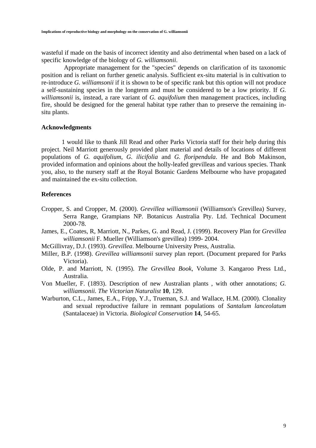wasteful if made on the basis of incorrect identity and also detrimental when based on a lack of specific knowledge of the biology of *G. williamsonii*.

Appropriate management for the "species" depends on clarification of its taxonomic position and is reliant on further genetic analysis. Sufficient ex-situ material is in cultivation to re-introduce *G. williamsonii* if it is shown to be of specific rank but this option will not produce a self-sustaining species in the longterm and must be considered to be a low priority. If *G. williamsonii* is, instead, a rare variant of *G. aquifolium* then management practices, including fire, should be designed for the general habitat type rather than to preserve the remaining insitu plants.

#### **Acknowledgments**

1 would like to thank Jill Read and other Parks Victoria staff for their help during this project. Neil Marriott generously provided plant material and details of locations of different populations of *G. aquifolium*, *G. ilicifolia* and *G. floripendula*. He and Bob Makinson, provided information and opinions about the holly-leafed grevilleas and various species. Thank you, also, to the nursery staff at the Royal Botanic Gardens Melbourne who have propagated and maintained the ex-situ collection.

#### **References**

- Cropper, S. and Cropper, M. (2000). *Grevillea williamsonii* (Williamson's Grevillea) Survey, Serra Range, Grampians NP. Botanicus Australia Pty. Ltd. Technical Document 2000-78.
- James, E., Coates, R, Marriott, N., Parkes, G. and Read, J. (1999). Recovery Plan for *Grevillea williamsonii* F. Mueller (Williamson's grevillea) 1999- 2004.
- McGillivray, D.J. (1993). *Grevillea*. Melbourne University Press, Australia.
- Miller, B.P. (1998). *Grevillea williamsonii* survey plan report. (Document prepared for Parks Victoria).
- Olde, P. and Marriott, N. (1995). *The Grevillea Book*, Volume 3. Kangaroo Press Ltd., Australia.
- Von Mueller, F. (1893). Description of new Australian plants , with other annotations; *G. williamsonii. The Victorian Naturalist* **10**, 129.
- Warburton, C.L., James, E.A., Fripp, Y.J., Trueman, S.J. and Wallace, H.M. (2000). Clonality and sexual reproductive failure in remnant populations of *Santalum lanceolatum* (Santalaceae) in Victoria. *Biological Conservation* **14**, 54-65.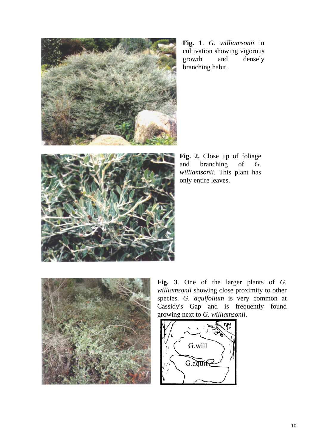

**Fig. 1**. *G. williamsonii* in cultivation showing vigorous growth and densely branching habit.

**Fig. 2.** Close up of foliage and branching of *G. williamsonii*. This plant has only entire leaves.

![](_page_12_Picture_3.jpeg)

**Fig. 3**. One of the larger plants of *G. williamsonii* showing close proximity to other species. *G. aquifolium* is very common at Cassidy's Gap and is frequently found growing next to *G. williamsonii*.

![](_page_12_Picture_5.jpeg)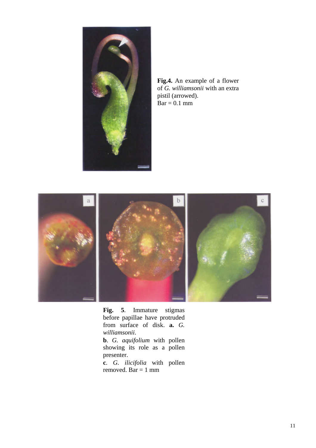![](_page_13_Picture_0.jpeg)

**Fig.4.** An example of a flower of *G. williamsonii* with an extra pistil (arrowed).  $Bar = 0.1$  mm

![](_page_13_Picture_2.jpeg)

**Fig. 5**. Immature stigmas before papillae have protruded from surface of disk. **a.** *G. williamsonii*.

**b**. *G. aquifolium* with pollen showing its role as a pollen presenter.

**c**. *G. ilicifolia* with pollen removed. Bar = 1 mm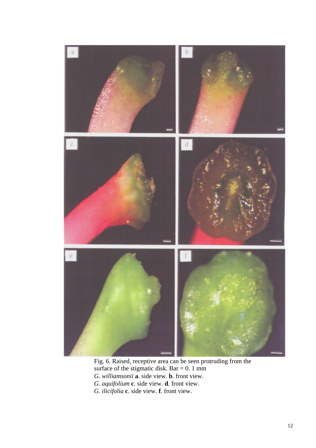![](_page_14_Picture_0.jpeg)

Fig. 6. Raised, receptive area can be seen protruding from the surface of the stigmatic disk. Bar =  $0.1$  mm *G. williamsonii* **a**. side view. **b**. front view. *G. aquifolium* **c**. side view. **d**. front view. *G. ilicifolia* **c**. side view. **f**. front view.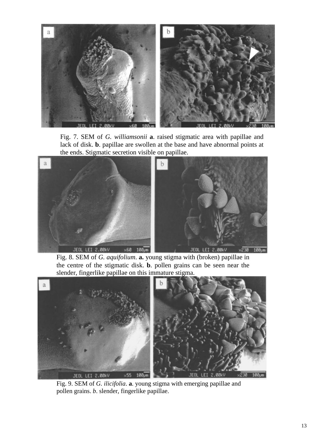![](_page_15_Picture_0.jpeg)

Fig. 7. SEM of *G. williamsonii* **a**. raised stigmatic area with papillae and lack of disk. **b**. papillae are swollen at the base and have abnormal points at the ends. Stigmatic secretion visible on papillae.

![](_page_15_Figure_2.jpeg)

Fig. 8. SEM of *G. aquifolium*. **a.** young stigma with (broken) papillae in the centre of the stigmatic disk. **b**. pollen grains can be seen near the slender, fingerlike papillae on this immature stigma.

![](_page_15_Picture_4.jpeg)

Fig. 9. SEM of *G. ilicifolia*. **a**. young stigma with emerging papillae and pollen grains. *b*. slender, fingerlike papillae.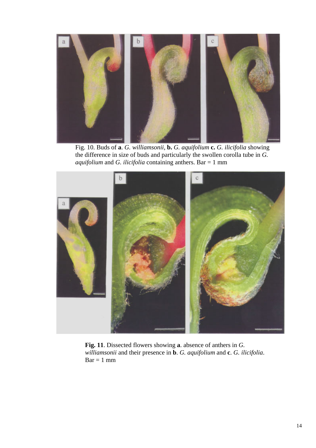![](_page_16_Figure_0.jpeg)

Fig. 10. Buds of **a**. *G. williamsonii*, **b.** *G. aquifolium* **c.** *G. ilicifolia* showing the difference in size of buds and particularly the swollen corolla tube in *G. aquifolium* and *G. ilicifolia* containing anthers. Bar = 1 mm

![](_page_16_Picture_2.jpeg)

**Fig. 11**. Dissected flowers showing **a**. absence of anthers in *G. williamsonii* and their presence in **b**. *G. aquifolium* and **c**. *G. ilicifolia*.  $Bar = 1$  mm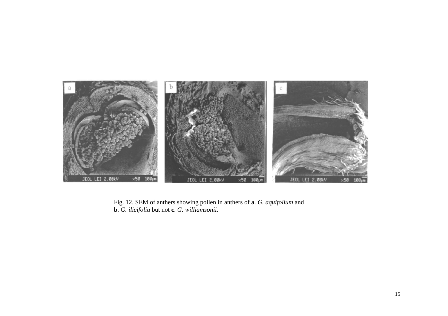![](_page_17_Picture_0.jpeg)

Fig. 12. SEM of anthers showing pollen in anthers of **<sup>a</sup>**. *G. aquifolium* and **b**. *G. ilicifolia* but not **<sup>c</sup>**. *G. williamsonii*.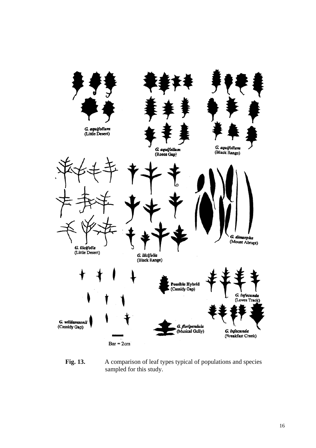![](_page_18_Figure_0.jpeg)

**Fig. 13.** A comparison of leaf types typical of populations and species sampled for this study.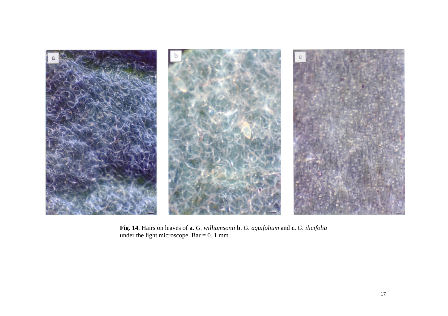![](_page_19_Picture_0.jpeg)

**Fig. 14**. Hairs on leaves of **<sup>a</sup>**. *G. williamsonii* **b**. *G. aquifolium* and **c.** *G. ilicifolia* under the light microscope. Bar  $= 0.1$  mm